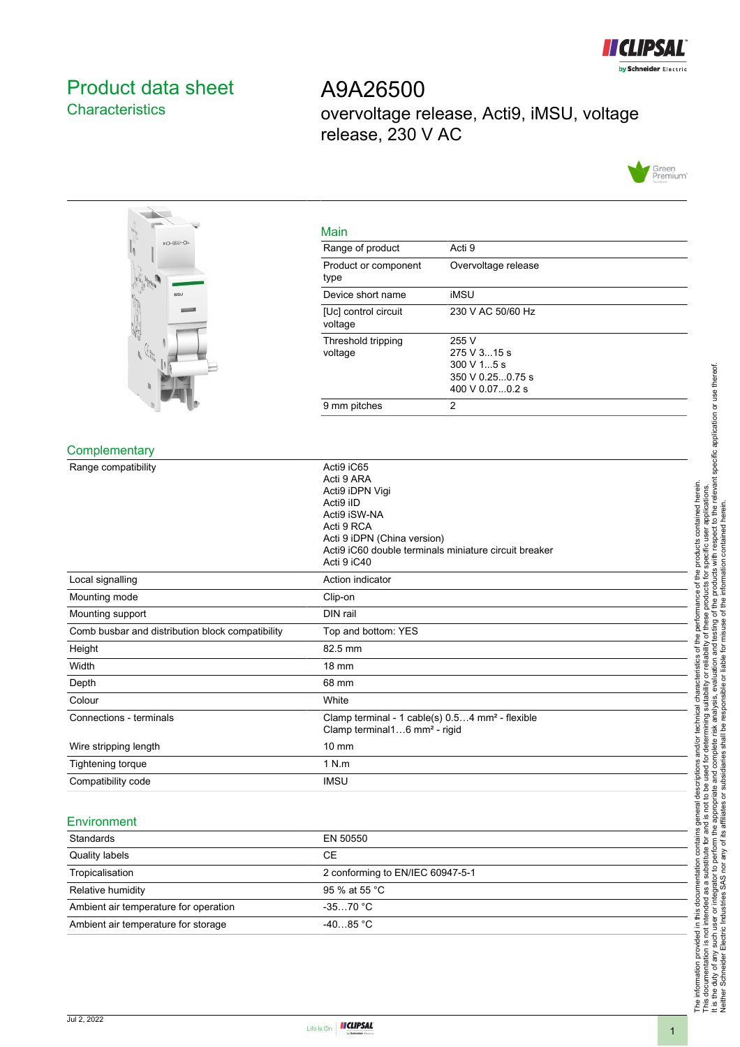

# <span id="page-0-0"></span>Product data sheet **Characteristics**

A9A26500 overvoltage release, Acti9, iMSU, voltage release, 230 V AC





| Main                            |                                                                                                              |
|---------------------------------|--------------------------------------------------------------------------------------------------------------|
| Range of product                | Acti 9                                                                                                       |
| Product or component<br>type    | Overvoltage release                                                                                          |
| Device short name               | iMSU                                                                                                         |
| [Uc] control circuit<br>voltage | 230 V AC 50/60 Hz                                                                                            |
| Threshold tripping<br>voltage   | 255 V<br>$275 \text{ V}$ 315 s<br>$300 \text{ V}$ 15 s<br>$350 \text{ V}$ 0.250.75 s<br>$400 \vee 0.070.2$ s |
| 9 mm pitches                    | 2                                                                                                            |

#### **Complementary**

| Range compatibility                              | Acti9 iC65<br>Acti 9 ARA<br>Acti9 iDPN Vigi<br>Acti9 iID<br>Acti9 iSW-NA<br>Acti 9 RCA<br>Acti 9 iDPN (China version)<br>Acti9 iC60 double terminals miniature circuit breaker<br>Acti 9 iC40 |
|--------------------------------------------------|-----------------------------------------------------------------------------------------------------------------------------------------------------------------------------------------------|
| Local signalling                                 | Action indicator                                                                                                                                                                              |
| Mounting mode                                    | Clip-on                                                                                                                                                                                       |
| Mounting support                                 | DIN rail                                                                                                                                                                                      |
| Comb busbar and distribution block compatibility | Top and bottom: YES                                                                                                                                                                           |
|                                                  |                                                                                                                                                                                               |
| Height                                           | 82.5 mm                                                                                                                                                                                       |
| Width                                            | 18 mm                                                                                                                                                                                         |
| Depth                                            | 68 mm                                                                                                                                                                                         |
| Colour                                           | White                                                                                                                                                                                         |
| Connections - terminals                          | Clamp terminal - 1 cable(s) 0.54 mm <sup>2</sup> - flexible<br>Clamp terminal16 mm <sup>2</sup> - rigid                                                                                       |
| Wire stripping length                            | $10 \text{ mm}$                                                                                                                                                                               |
| Tightening torque                                | 1 N.m                                                                                                                                                                                         |

#### Environment

| Standards                             | EN 50550                         |
|---------------------------------------|----------------------------------|
| Quality labels                        | CЕ                               |
| Tropicalisation                       | 2 conforming to EN/IEC 60947-5-1 |
| Relative humidity                     | 95 % at 55 °C                    |
| Ambient air temperature for operation | $-3570 °C$                       |
| Ambient air temperature for storage   | $-4085 °C$                       |